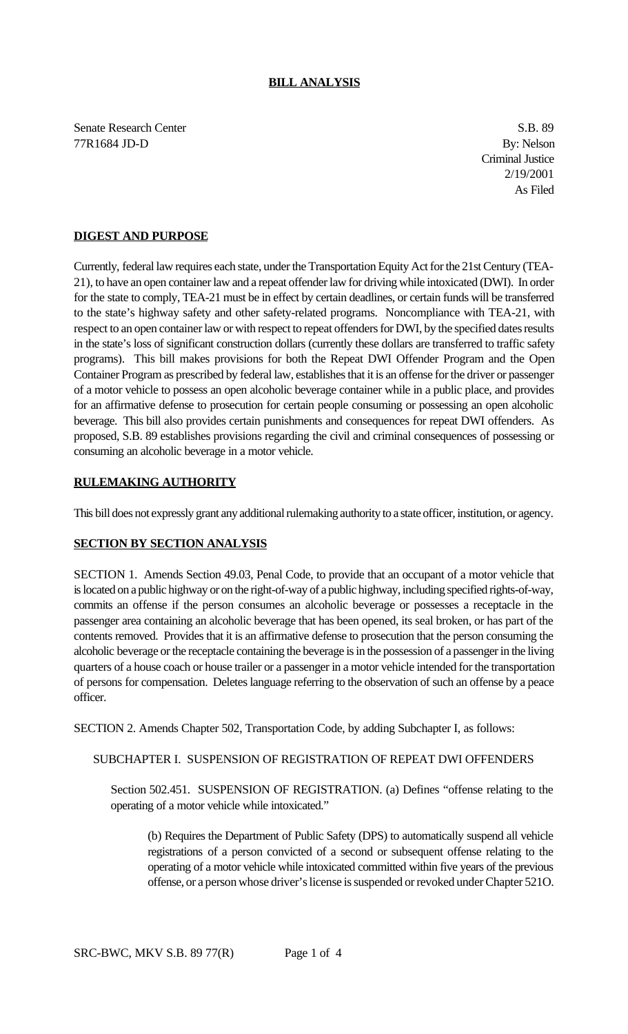## **BILL ANALYSIS**

Senate Research Center S.B. 89 77R1684 JD-D By: Nelson

Criminal Justice 2/19/2001 As Filed

## **DIGEST AND PURPOSE**

Currently, federal law requires each state, under the Transportation Equity Act for the 21st Century (TEA-21), to have an open container law and a repeat offender law for driving while intoxicated (DWI). In order for the state to comply, TEA-21 must be in effect by certain deadlines, or certain funds will be transferred to the state's highway safety and other safety-related programs. Noncompliance with TEA-21, with respect to an open container law or with respect to repeat offenders for DWI, by the specified dates results in the state's loss of significant construction dollars (currently these dollars are transferred to traffic safety programs). This bill makes provisions for both the Repeat DWI Offender Program and the Open Container Program as prescribed by federal law, establishes that it is an offense for the driver or passenger of a motor vehicle to possess an open alcoholic beverage container while in a public place, and provides for an affirmative defense to prosecution for certain people consuming or possessing an open alcoholic beverage. This bill also provides certain punishments and consequences for repeat DWI offenders. As proposed, S.B. 89 establishes provisions regarding the civil and criminal consequences of possessing or consuming an alcoholic beverage in a motor vehicle.

## **RULEMAKING AUTHORITY**

This bill does not expressly grant any additional rulemaking authority to a state officer, institution, or agency.

## **SECTION BY SECTION ANALYSIS**

SECTION 1. Amends Section 49.03, Penal Code, to provide that an occupant of a motor vehicle that is located on a public highway or on the right-of-way of a public highway, including specified rights-of-way, commits an offense if the person consumes an alcoholic beverage or possesses a receptacle in the passenger area containing an alcoholic beverage that has been opened, its seal broken, or has part of the contents removed. Provides that it is an affirmative defense to prosecution that the person consuming the alcoholic beverage or the receptacle containing the beverage is in the possession of a passenger in the living quarters of a house coach or house trailer or a passenger in a motor vehicle intended for the transportation of persons for compensation. Deletes language referring to the observation of such an offense by a peace officer.

SECTION 2. Amends Chapter 502, Transportation Code, by adding Subchapter I, as follows:

SUBCHAPTER I. SUSPENSION OF REGISTRATION OF REPEAT DWI OFFENDERS

Section 502.451. SUSPENSION OF REGISTRATION. (a) Defines "offense relating to the operating of a motor vehicle while intoxicated."

(b) Requires the Department of Public Safety (DPS) to automatically suspend all vehicle registrations of a person convicted of a second or subsequent offense relating to the operating of a motor vehicle while intoxicated committed within five years of the previous offense, or a person whose driver's license is suspended or revoked under Chapter 521O.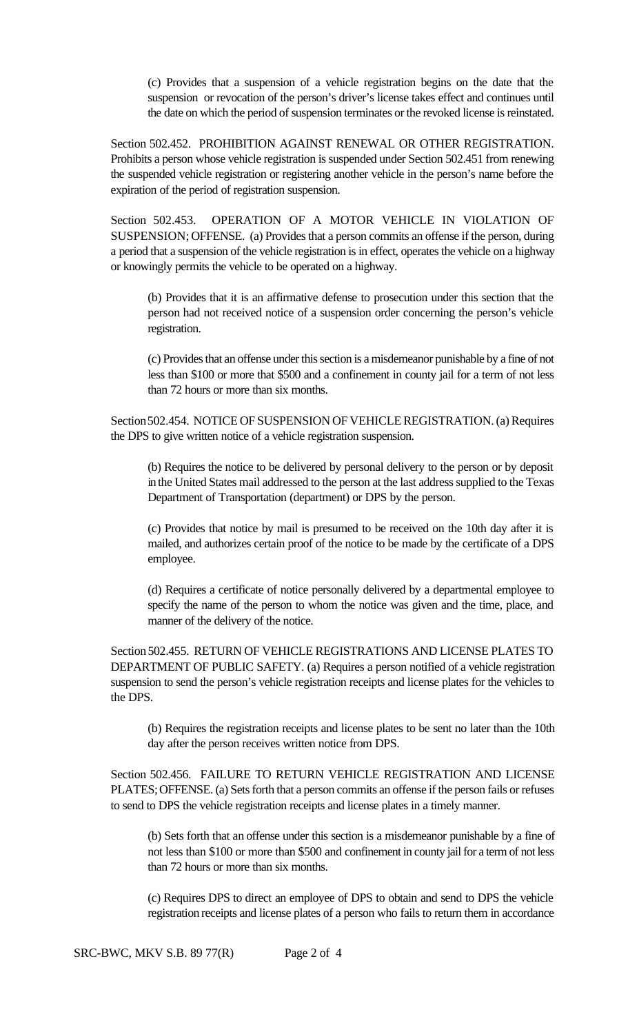(c) Provides that a suspension of a vehicle registration begins on the date that the suspension or revocation of the person's driver's license takes effect and continues until the date on which the period of suspension terminates or the revoked license is reinstated.

Section 502.452. PROHIBITION AGAINST RENEWAL OR OTHER REGISTRATION. Prohibits a person whose vehicle registration is suspended under Section 502.451 from renewing the suspended vehicle registration or registering another vehicle in the person's name before the expiration of the period of registration suspension.

Section 502.453. OPERATION OF A MOTOR VEHICLE IN VIOLATION OF SUSPENSION; OFFENSE. (a) Provides that a person commits an offense if the person, during a period that a suspension of the vehicle registration is in effect, operates the vehicle on a highway or knowingly permits the vehicle to be operated on a highway.

(b) Provides that it is an affirmative defense to prosecution under this section that the person had not received notice of a suspension order concerning the person's vehicle registration.

(c) Provides that an offense under this section is a misdemeanor punishable by a fine of not less than \$100 or more that \$500 and a confinement in county jail for a term of not less than 72 hours or more than six months.

Section 502.454. NOTICE OF SUSPENSION OF VEHICLE REGISTRATION. (a) Requires the DPS to give written notice of a vehicle registration suspension.

(b) Requires the notice to be delivered by personal delivery to the person or by deposit in the United States mail addressed to the person at the last address supplied to the Texas Department of Transportation (department) or DPS by the person.

(c) Provides that notice by mail is presumed to be received on the 10th day after it is mailed, and authorizes certain proof of the notice to be made by the certificate of a DPS employee.

(d) Requires a certificate of notice personally delivered by a departmental employee to specify the name of the person to whom the notice was given and the time, place, and manner of the delivery of the notice.

Section 502.455. RETURN OF VEHICLE REGISTRATIONS AND LICENSE PLATES TO DEPARTMENT OF PUBLIC SAFETY. (a) Requires a person notified of a vehicle registration suspension to send the person's vehicle registration receipts and license plates for the vehicles to the DPS.

(b) Requires the registration receipts and license plates to be sent no later than the 10th day after the person receives written notice from DPS.

Section 502.456. FAILURE TO RETURN VEHICLE REGISTRATION AND LICENSE PLATES; OFFENSE. (a) Sets forth that a person commits an offense if the person fails or refuses to send to DPS the vehicle registration receipts and license plates in a timely manner.

(b) Sets forth that an offense under this section is a misdemeanor punishable by a fine of not less than \$100 or more than \$500 and confinement in county jail for a term of not less than 72 hours or more than six months.

(c) Requires DPS to direct an employee of DPS to obtain and send to DPS the vehicle registration receipts and license plates of a person who fails to return them in accordance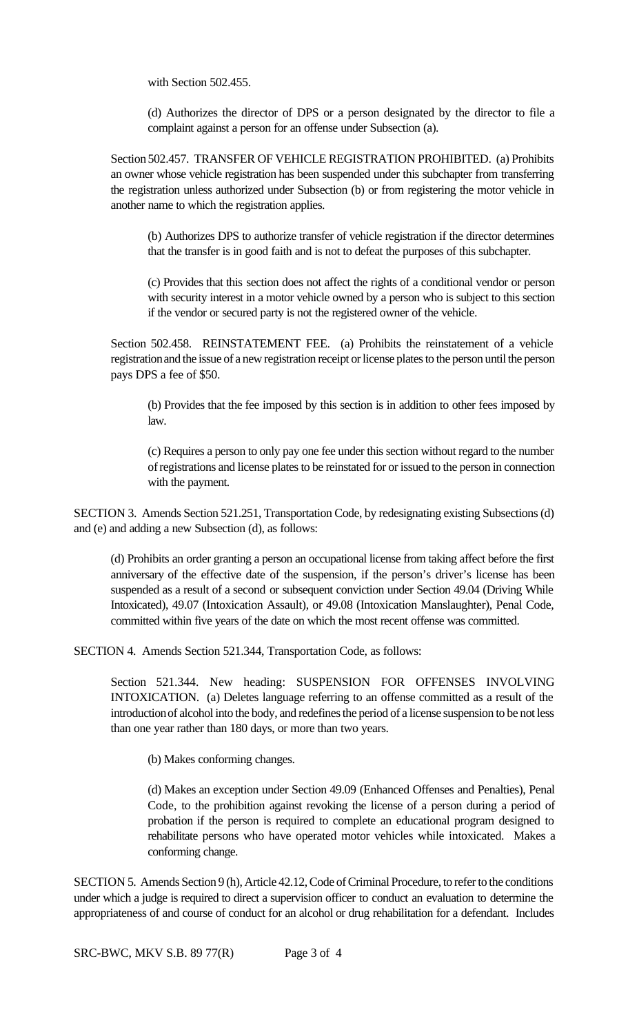with Section 502.455.

(d) Authorizes the director of DPS or a person designated by the director to file a complaint against a person for an offense under Subsection (a).

Section 502.457. TRANSFER OF VEHICLE REGISTRATION PROHIBITED. (a) Prohibits an owner whose vehicle registration has been suspended under this subchapter from transferring the registration unless authorized under Subsection (b) or from registering the motor vehicle in another name to which the registration applies.

(b) Authorizes DPS to authorize transfer of vehicle registration if the director determines that the transfer is in good faith and is not to defeat the purposes of this subchapter.

(c) Provides that this section does not affect the rights of a conditional vendor or person with security interest in a motor vehicle owned by a person who is subject to this section if the vendor or secured party is not the registered owner of the vehicle.

Section 502.458. REINSTATEMENT FEE. (a) Prohibits the reinstatement of a vehicle registration and the issue of a new registration receipt or license plates to the person until the person pays DPS a fee of \$50.

(b) Provides that the fee imposed by this section is in addition to other fees imposed by law.

(c) Requires a person to only pay one fee under this section without regard to the number of registrations and license plates to be reinstated for or issued to the person in connection with the payment.

SECTION 3. Amends Section 521.251, Transportation Code, by redesignating existing Subsections (d) and (e) and adding a new Subsection (d), as follows:

(d) Prohibits an order granting a person an occupational license from taking affect before the first anniversary of the effective date of the suspension, if the person's driver's license has been suspended as a result of a second or subsequent conviction under Section 49.04 (Driving While Intoxicated), 49.07 (Intoxication Assault), or 49.08 (Intoxication Manslaughter), Penal Code, committed within five years of the date on which the most recent offense was committed.

SECTION 4. Amends Section 521.344, Transportation Code, as follows:

Section 521.344. New heading: SUSPENSION FOR OFFENSES INVOLVING INTOXICATION. (a) Deletes language referring to an offense committed as a result of the introduction of alcohol into the body, and redefines the period of a license suspension to be not less than one year rather than 180 days, or more than two years.

(b) Makes conforming changes.

(d) Makes an exception under Section 49.09 (Enhanced Offenses and Penalties), Penal Code, to the prohibition against revoking the license of a person during a period of probation if the person is required to complete an educational program designed to rehabilitate persons who have operated motor vehicles while intoxicated. Makes a conforming change.

SECTION 5. Amends Section 9 (h), Article 42.12, Code of Criminal Procedure, to refer to the conditions under which a judge is required to direct a supervision officer to conduct an evaluation to determine the appropriateness of and course of conduct for an alcohol or drug rehabilitation for a defendant. Includes